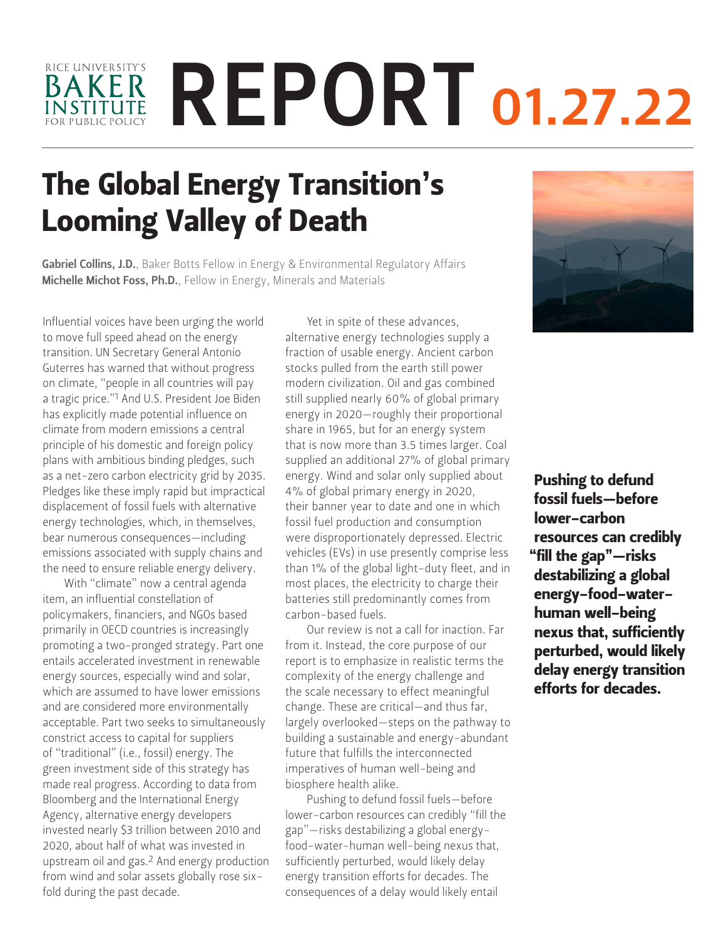# RICE UNIVERSITY'S REPORT 01.27.22BAKER **INSTITUTE**

# The Global Energy Transition's Looming Valley of Death

Gabriel Collins, J.D.[, Baker Botts Fellow in Energy & Environmental Regulatory Affairs](https://www.bakerinstitute.org/experts/gabe-collins/) Michelle Michot Foss, Ph.D.[, Fellow in Energy, Minerals and Materials](https://www.bakerinstitute.org/experts/michelle-michot-foss/)

Influential voices have been urging the world to move full speed ahead on the energy transition. UN Secretary General Antonio Guterres has warned that without progress on climate, "people in all countries will pay a tragic price."1 And U.S. President Joe Biden has explicitly made potential influence on climate from modern emissions a central principle of his domestic and foreign policy plans with ambitious binding pledges, such as a net-zero carbon electricity grid by 2035. Pledges like these imply rapid but impractical displacement of fossil fuels with alternative energy technologies, which, in themselves, bear numerous consequences—including emissions associated with supply chains and the need to ensure reliable energy delivery.

With "climate" now a central agenda item, an influential constellation of policymakers, financiers, and NGOs based primarily in OECD countries is increasingly promoting a two-pronged strategy. Part one entails accelerated investment in renewable energy sources, especially wind and solar, which are assumed to have lower emissions and are considered more environmentally acceptable. Part two seeks to simultaneously constrict access to capital for suppliers of "traditional" (i.e., fossil) energy. The green investment side of this strategy has made real progress. According to data from Bloomberg and the International Energy Agency, alternative energy developers invested nearly \$3 trillion between 2010 and 2020, about half of what was invested in upstream oil and gas.2 And energy production from wind and solar assets globally rose sixfold during the past decade.

Yet in spite of these advances, alternative energy technologies supply a fraction of usable energy. Ancient carbon stocks pulled from the earth still power modern civilization. Oil and gas combined still supplied nearly 60% of global primary energy in 2020—roughly their proportional share in 1965, but for an energy system that is now more than 3.5 times larger. Coal supplied an additional 27% of global primary energy. Wind and solar only supplied about 4% of global primary energy in 2020, their banner year to date and one in which fossil fuel production and consumption were disproportionately depressed. Electric vehicles (EVs) in use presently comprise less than 1% of the global light-duty fleet, and in most places, the electricity to charge their batteries still predominantly comes from carbon-based fuels.

Our review is not a call for inaction. Far from it. Instead, the core purpose of our report is to emphasize in realistic terms the complexity of the energy challenge and the scale necessary to effect meaningful change. These are critical—and thus far, largely overlooked—steps on the pathway to building a sustainable and energy-abundant future that fulfills the interconnected imperatives of human well-being and biosphere health alike.

Pushing to defund fossil fuels—before lower-carbon resources can credibly "fill the gap"—risks destabilizing a global energyfood-water-human well-being nexus that, sufficiently perturbed, would likely delay energy transition efforts for decades. The consequences of a delay would likely entail



Pushing to defund fossil fuels—before lower-carbon resources can credibly "fill the gap"—risks destabilizing a global energy-food-waterhuman well-being nexus that, sufficiently perturbed, would likely delay energy transition efforts for decades.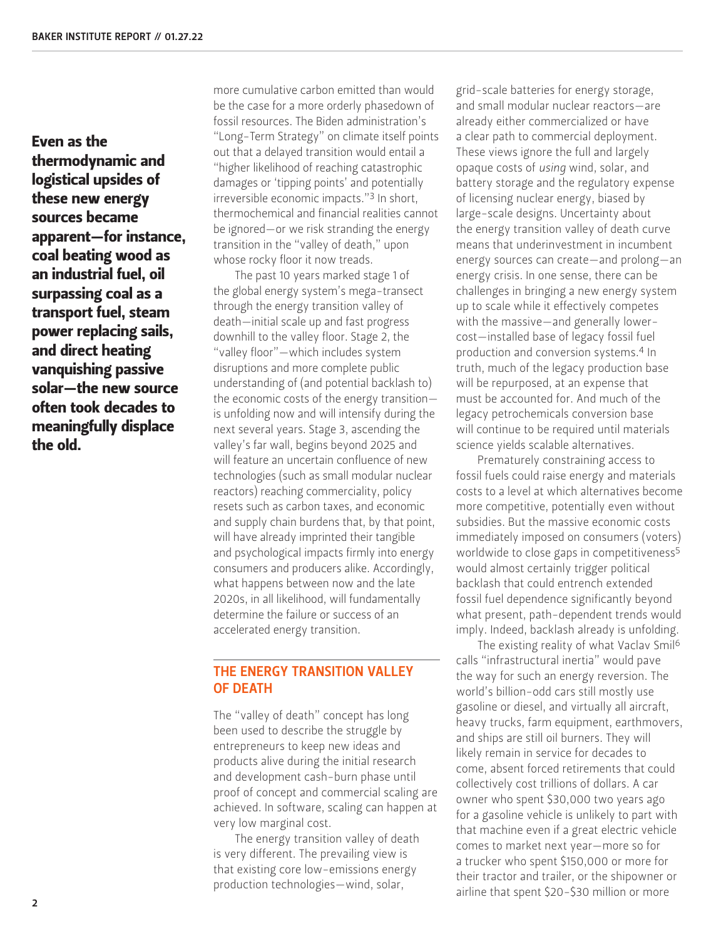Even as the thermodynamic and logistical upsides of these new energy sources became apparent—for instance, coal beating wood as an industrial fuel, oil surpassing coal as a transport fuel, steam power replacing sails, and direct heating vanquishing passive solar—the new source often took decades to meaningfully displace the old.

more cumulative carbon emitted than would be the case for a more orderly phasedown of fossil resources. The Biden administration's "Long-Term Strategy" on climate itself points out that a delayed transition would entail a "higher likelihood of reaching catastrophic damages or 'tipping points' and potentially irreversible economic impacts."3 In short, thermochemical and financial realities cannot be ignored—or we risk stranding the energy transition in the "valley of death," upon whose rocky floor it now treads.

The past 10 years marked stage 1 of the global energy system's mega-transect through the energy transition valley of death—initial scale up and fast progress downhill to the valley floor. Stage 2, the "valley floor"—which includes system disruptions and more complete public understanding of (and potential backlash to) the economic costs of the energy transition is unfolding now and will intensify during the next several years. Stage 3, ascending the valley's far wall, begins beyond 2025 and will feature an uncertain confluence of new technologies (such as small modular nuclear reactors) reaching commerciality, policy resets such as carbon taxes, and economic and supply chain burdens that, by that point, will have already imprinted their tangible and psychological impacts firmly into energy consumers and producers alike. Accordingly, what happens between now and the late 2020s, in all likelihood, will fundamentally determine the failure or success of an accelerated energy transition.

#### THE ENERGY TRANSITION VALLEY OF DEATH

The "valley of death" concept has long been used to describe the struggle by entrepreneurs to keep new ideas and products alive during the initial research and development cash-burn phase until proof of concept and commercial scaling are achieved. In software, scaling can happen at very low marginal cost.

The energy transition valley of death is very different. The prevailing view is that existing core low-emissions energy production technologies—wind, solar,

grid-scale batteries for energy storage, and small modular nuclear reactors—are already either commercialized or have a clear path to commercial deployment. These views ignore the full and largely opaque costs of *using* wind, solar, and battery storage and the regulatory expense of licensing nuclear energy, biased by large-scale designs. Uncertainty about the energy transition valley of death curve means that underinvestment in incumbent energy sources can create—and prolong—an energy crisis. In one sense, there can be challenges in bringing a new energy system up to scale while it effectively competes with the massive—and generally lowercost—installed base of legacy fossil fuel production and conversion systems.4 In truth, much of the legacy production base will be repurposed, at an expense that must be accounted for. And much of the legacy petrochemicals conversion base will continue to be required until materials science yields scalable alternatives.

Prematurely constraining access to fossil fuels could raise energy and materials costs to a level at which alternatives become more competitive, potentially even without subsidies. But the massive economic costs immediately imposed on consumers (voters) worldwide to close gaps in competitiveness<sup>5</sup> would almost certainly trigger political backlash that could entrench extended fossil fuel dependence significantly beyond what present, path-dependent trends would imply. Indeed, backlash already is unfolding.

The existing reality of what Vaclav Smil<sup>6</sup> calls "infrastructural inertia" would pave the way for such an energy reversion. The world's billion-odd cars still mostly use gasoline or diesel, and virtually all aircraft, heavy trucks, farm equipment, earthmovers, and ships are still oil burners. They will likely remain in service for decades to come, absent forced retirements that could collectively cost trillions of dollars. A car owner who spent \$30,000 two years ago for a gasoline vehicle is unlikely to part with that machine even if a great electric vehicle comes to market next year—more so for a trucker who spent \$150,000 or more for their tractor and trailer, or the shipowner or airline that spent \$20-\$30 million or more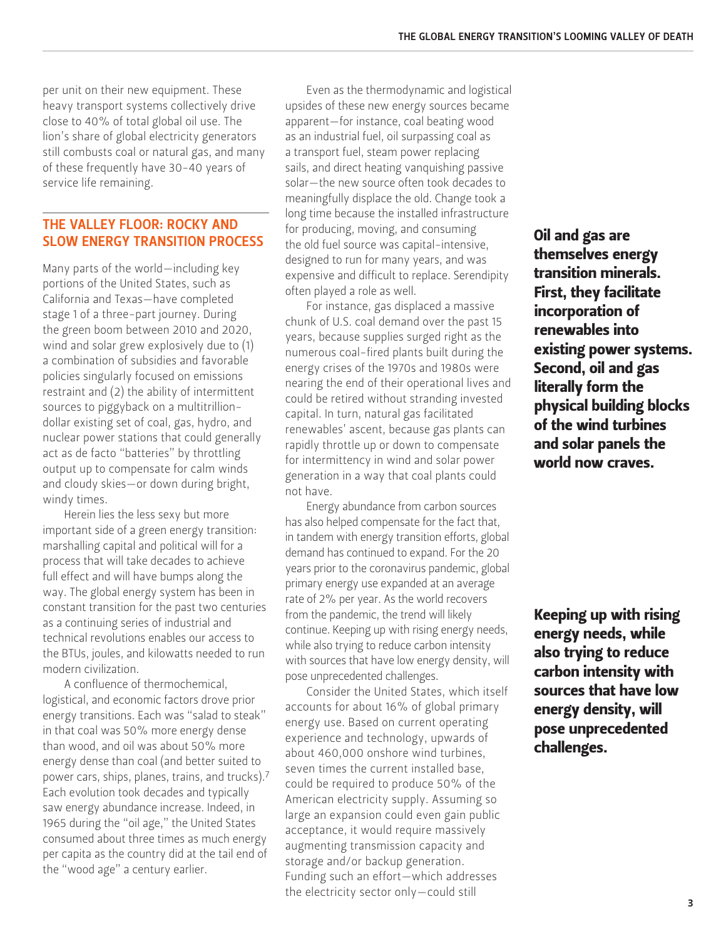per unit on their new equipment. These heavy transport systems collectively drive close to 40% of total global oil use. The lion's share of global electricity generators still combusts coal or natural gas, and many of these frequently have 30-40 years of service life remaining.

## THE VALLEY FLOOR: ROCKY AND SLOW ENERGY TRANSITION PROCESS

Many parts of the world—including key portions of the United States, such as California and Texas—have completed stage 1 of a three-part journey. During the green boom between 2010 and 2020, wind and solar grew explosively due to (1) a combination of subsidies and favorable policies singularly focused on emissions restraint and (2) the ability of intermittent sources to piggyback on a multitrilliondollar existing set of coal, gas, hydro, and nuclear power stations that could generally act as de facto "batteries" by throttling output up to compensate for calm winds and cloudy skies—or down during bright, windy times.

Herein lies the less sexy but more important side of a green energy transition: marshalling capital and political will for a process that will take decades to achieve full effect and will have bumps along the way. The global energy system has been in constant transition for the past two centuries as a continuing series of industrial and technical revolutions enables our access to the BTUs, joules, and kilowatts needed to run modern civilization.

A confluence of thermochemical, logistical, and economic factors drove prior energy transitions. Each was "salad to steak" in that coal was 50% more energy dense than wood, and oil was about 50% more energy dense than coal (and better suited to power cars, ships, planes, trains, and trucks).7 Each evolution took decades and typically saw energy abundance increase. Indeed, in 1965 during the "oil age," the United States consumed about three times as much energy per capita as the country did at the tail end of the "wood age" a century earlier.

Even as the thermodynamic and logistical upsides of these new energy sources became apparent—for instance, coal beating wood as an industrial fuel, oil surpassing coal as a transport fuel, steam power replacing sails, and direct heating vanquishing passive solar—the new source often took decades to meaningfully displace the old. Change took a long time because the installed infrastructure for producing, moving, and consuming the old fuel source was capital-intensive, designed to run for many years, and was expensive and difficult to replace. Serendipity often played a role as well.

For instance, gas displaced a massive chunk of U.S. coal demand over the past 15 years, because supplies surged right as the numerous coal-fired plants built during the energy crises of the 1970s and 1980s were nearing the end of their operational lives and could be retired without stranding invested capital. In turn, natural gas facilitated renewables' ascent, because gas plants can rapidly throttle up or down to compensate for intermittency in wind and solar power generation in a way that coal plants could not have.

Energy abundance from carbon sources has also helped compensate for the fact that, in tandem with energy transition efforts, global demand has continued to expand. For the 20 years prior to the coronavirus pandemic, global primary energy use expanded at an average rate of 2% per year. As the world recovers from the pandemic, the trend will likely continue. Keeping up with rising energy needs, while also trying to reduce carbon intensity with sources that have low energy density, will pose unprecedented challenges.

Consider the United States, which itself accounts for about 16% of global primary energy use. Based on current operating experience and technology, upwards of about 460,000 onshore wind turbines, seven times the current installed base, could be required to produce 50% of the American electricity supply. Assuming so large an expansion could even gain public acceptance, it would require massively augmenting transmission capacity and storage and/or backup generation. Funding such an effort—which addresses the electricity sector only—could still

Oil and gas are themselves energy transition minerals. First, they facilitate incorporation of renewables into existing power systems. Second, oil and gas literally form the physical building blocks of the wind turbines and solar panels the world now craves.

Keeping up with rising energy needs, while also trying to reduce carbon intensity with sources that have low energy density, will pose unprecedented challenges.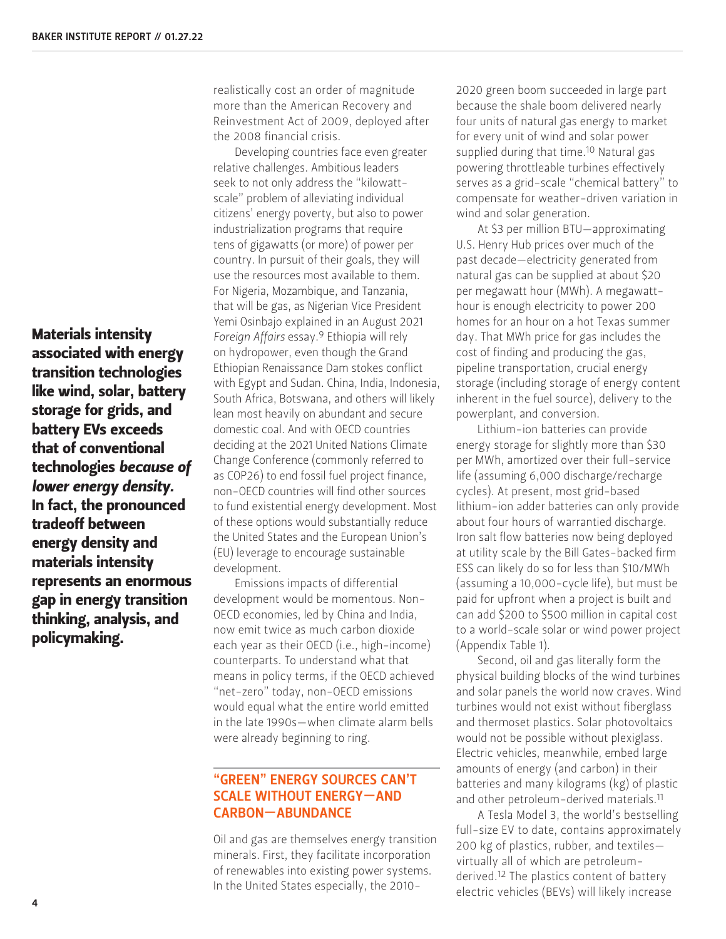Materials intensity associated with energy transition technologies like wind, solar, battery storage for grids, and battery EVs exceeds that of conventional technologies *because of lower energy density.* In fact, the pronounced tradeoff between energy density and materials intensity represents an enormous gap in energy transition thinking, analysis, and policymaking.

realistically cost an order of magnitude more than the American Recovery and Reinvestment Act of 2009, deployed after the 2008 financial crisis.

Developing countries face even greater relative challenges. Ambitious leaders seek to not only address the "kilowattscale" problem of alleviating individual citizens' energy poverty, but also to power industrialization programs that require tens of gigawatts (or more) of power per country. In pursuit of their goals, they will use the resources most available to them. For Nigeria, Mozambique, and Tanzania, that will be gas, as Nigerian Vice President Yemi Osinbajo explained in an August 2021 *Foreign Affairs* essay.9 Ethiopia will rely on hydropower, even though the Grand Ethiopian Renaissance Dam stokes conflict with Egypt and Sudan. China, India, Indonesia, South Africa, Botswana, and others will likely lean most heavily on abundant and secure domestic coal. And with OECD countries deciding at the 2021 United Nations Climate Change Conference (commonly referred to as COP26) to end fossil fuel project finance, non-OECD countries will find other sources to fund existential energy development. Most of these options would substantially reduce the United States and the European Union's (EU) leverage to encourage sustainable development.

Emissions impacts of differential development would be momentous. Non-OECD economies, led by China and India, now emit twice as much carbon dioxide each year as their OECD (i.e., high-income) counterparts. To understand what that means in policy terms, if the OECD achieved "net-zero" today, non-OECD emissions would equal what the entire world emitted in the late 1990s—when climate alarm bells were already beginning to ring.

## "GREEN" ENERGY SOURCES CAN'T SCALE WITHOUT ENERGY—AND CARBON—ABUNDANCE

Oil and gas are themselves energy transition minerals. First, they facilitate incorporation of renewables into existing power systems. In the United States especially, the 20102020 green boom succeeded in large part because the shale boom delivered nearly four units of natural gas energy to market for every unit of wind and solar power supplied during that time.<sup>10</sup> Natural gas powering throttleable turbines effectively serves as a grid-scale "chemical battery" to compensate for weather-driven variation in wind and solar generation.

At \$3 per million BTU—approximating U.S. Henry Hub prices over much of the past decade—electricity generated from natural gas can be supplied at about \$20 per megawatt hour (MWh). A megawatthour is enough electricity to power 200 homes for an hour on a hot Texas summer day. That MWh price for gas includes the cost of finding and producing the gas, pipeline transportation, crucial energy storage (including storage of energy content inherent in the fuel source), delivery to the powerplant, and conversion.

Lithium-ion batteries can provide energy storage for slightly more than \$30 per MWh, amortized over their full-service life (assuming 6,000 discharge/recharge cycles). At present, most grid-based lithium-ion adder batteries can only provide about four hours of warrantied discharge. Iron salt flow batteries now being deployed at utility scale by the Bill Gates-backed firm ESS can likely do so for less than \$10/MWh (assuming a 10,000-cycle life), but must be paid for upfront when a project is built and can add \$200 to \$500 million in capital cost to a world-scale solar or wind power project (Appendix Table 1).

Second, oil and gas literally form the physical building blocks of the wind turbines and solar panels the world now craves. Wind turbines would not exist without fiberglass and thermoset plastics. Solar photovoltaics would not be possible without plexiglass. Electric vehicles, meanwhile, embed large amounts of energy (and carbon) in their batteries and many kilograms (kg) of plastic and other petroleum-derived materials.11

A Tesla Model 3, the world's bestselling full-size EV to date, contains approximately 200 kg of plastics, rubber, and textiles virtually all of which are petroleumderived.<sup>12</sup> The plastics content of battery electric vehicles (BEVs) will likely increase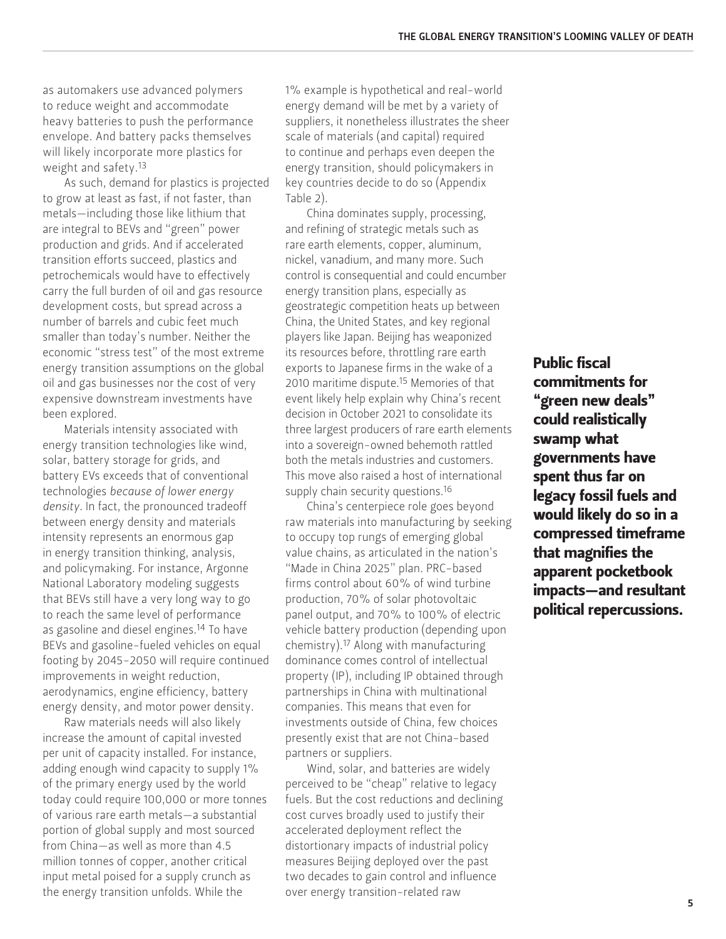as automakers use advanced polymers to reduce weight and accommodate heavy batteries to push the performance envelope. And battery packs themselves will likely incorporate more plastics for weight and safety.13

As such, demand for plastics is projected to grow at least as fast, if not faster, than metals—including those like lithium that are integral to BEVs and "green" power production and grids. And if accelerated transition efforts succeed, plastics and petrochemicals would have to effectively carry the full burden of oil and gas resource development costs, but spread across a number of barrels and cubic feet much smaller than today's number. Neither the economic "stress test" of the most extreme energy transition assumptions on the global oil and gas businesses nor the cost of very expensive downstream investments have been explored.

Materials intensity associated with energy transition technologies like wind, solar, battery storage for grids, and battery EVs exceeds that of conventional technologies *because of lower energy density*. In fact, the pronounced tradeoff between energy density and materials intensity represents an enormous gap in energy transition thinking, analysis, and policymaking. For instance, Argonne National Laboratory modeling suggests that BEVs still have a very long way to go to reach the same level of performance as gasoline and diesel engines.<sup>14</sup> To have BEVs and gasoline-fueled vehicles on equal footing by 2045-2050 will require continued improvements in weight reduction, aerodynamics, engine efficiency, battery energy density, and motor power density.

Raw materials needs will also likely increase the amount of capital invested per unit of capacity installed. For instance, adding enough wind capacity to supply 1% of the primary energy used by the world today could require 100,000 or more tonnes of various rare earth metals—a substantial portion of global supply and most sourced from China—as well as more than 4.5 million tonnes of copper, another critical input metal poised for a supply crunch as the energy transition unfolds. While the

1% example is hypothetical and real-world energy demand will be met by a variety of suppliers, it nonetheless illustrates the sheer scale of materials (and capital) required to continue and perhaps even deepen the energy transition, should policymakers in key countries decide to do so (Appendix Table 2).

China dominates supply, processing, and refining of strategic metals such as rare earth elements, copper, aluminum, nickel, vanadium, and many more. Such control is consequential and could encumber energy transition plans, especially as geostrategic competition heats up between China, the United States, and key regional players like Japan. Beijing has weaponized its resources before, throttling rare earth exports to Japanese firms in the wake of a 2010 maritime dispute.15 Memories of that event likely help explain why China's recent decision in October 2021 to consolidate its three largest producers of rare earth elements into a sovereign-owned behemoth rattled both the metals industries and customers. This move also raised a host of international supply chain security questions.<sup>16</sup>

China's centerpiece role goes beyond raw materials into manufacturing by seeking to occupy top rungs of emerging global value chains, as articulated in the nation's "Made in China 2025" plan. PRC-based firms control about 60% of wind turbine production, 70% of solar photovoltaic panel output, and 70% to 100% of electric vehicle battery production (depending upon chemistry).17 Along with manufacturing dominance comes control of intellectual property (IP), including IP obtained through partnerships in China with multinational companies. This means that even for investments outside of China, few choices presently exist that are not China-based partners or suppliers.

Wind, solar, and batteries are widely perceived to be "cheap" relative to legacy fuels. But the cost reductions and declining cost curves broadly used to justify their accelerated deployment reflect the distortionary impacts of industrial policy measures Beijing deployed over the past two decades to gain control and influence over energy transition-related raw

Public fiscal commitments for "green new deals" could realistically swamp what governments have spent thus far on legacy fossil fuels and would likely do so in a compressed timeframe that magnifies the apparent pocketbook impacts—and resultant political repercussions.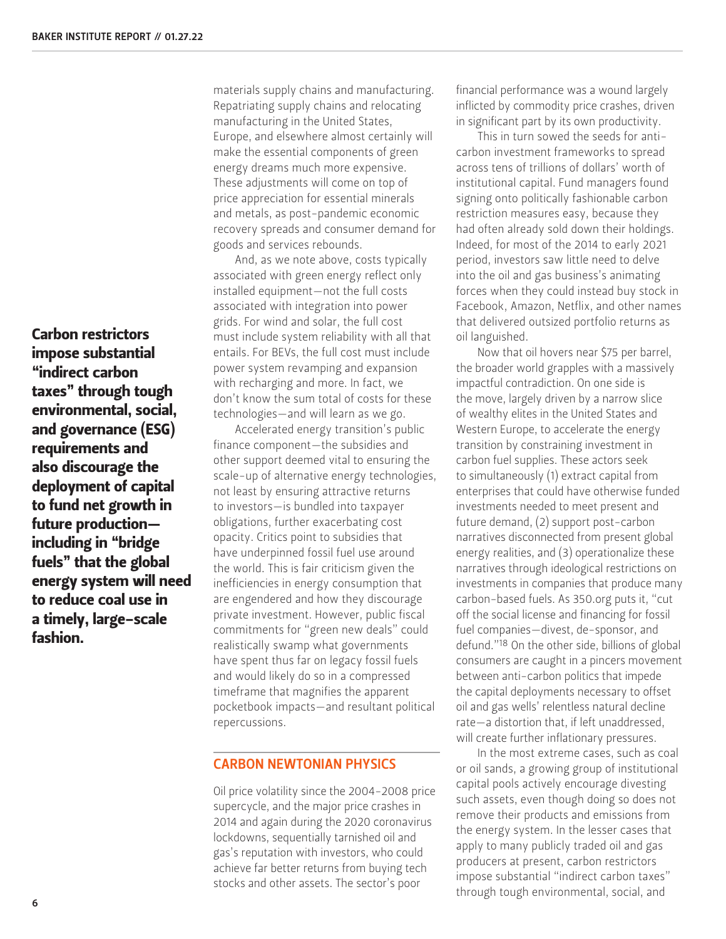Carbon restrictors impose substantial "indirect carbon taxes" through tough environmental, social, and governance (ESG) requirements and also discourage the deployment of capital to fund net growth in future production including in "bridge fuels" that the global energy system will need to reduce coal use in a timely, large-scale fashion.

materials supply chains and manufacturing. Repatriating supply chains and relocating manufacturing in the United States, Europe, and elsewhere almost certainly will make the essential components of green energy dreams much more expensive. These adjustments will come on top of price appreciation for essential minerals and metals, as post-pandemic economic recovery spreads and consumer demand for goods and services rebounds.

And, as we note above, costs typically associated with green energy reflect only installed equipment—not the full costs associated with integration into power grids. For wind and solar, the full cost must include system reliability with all that entails. For BEVs, the full cost must include power system revamping and expansion with recharging and more. In fact, we don't know the sum total of costs for these technologies—and will learn as we go.

Accelerated energy transition's public finance component—the subsidies and other support deemed vital to ensuring the scale-up of alternative energy technologies, not least by ensuring attractive returns to investors—is bundled into taxpayer obligations, further exacerbating cost opacity. Critics point to subsidies that have underpinned fossil fuel use around the world. This is fair criticism given the inefficiencies in energy consumption that are engendered and how they discourage private investment. However, public fiscal commitments for "green new deals" could realistically swamp what governments have spent thus far on legacy fossil fuels and would likely do so in a compressed timeframe that magnifies the apparent pocketbook impacts—and resultant political repercussions.

#### CARBON NEWTONIAN PHYSICS

Oil price volatility since the 2004-2008 price supercycle, and the major price crashes in 2014 and again during the 2020 coronavirus lockdowns, sequentially tarnished oil and gas's reputation with investors, who could achieve far better returns from buying tech stocks and other assets. The sector's poor

financial performance was a wound largely inflicted by commodity price crashes, driven in significant part by its own productivity.

This in turn sowed the seeds for anticarbon investment frameworks to spread across tens of trillions of dollars' worth of institutional capital. Fund managers found signing onto politically fashionable carbon restriction measures easy, because they had often already sold down their holdings. Indeed, for most of the 2014 to early 2021 period, investors saw little need to delve into the oil and gas business's animating forces when they could instead buy stock in Facebook, Amazon, Netflix, and other names that delivered outsized portfolio returns as oil languished.

Now that oil hovers near \$75 per barrel, the broader world grapples with a massively impactful contradiction. On one side is the move, largely driven by a narrow slice of wealthy elites in the United States and Western Europe, to accelerate the energy transition by constraining investment in carbon fuel supplies. These actors seek to simultaneously (1) extract capital from enterprises that could have otherwise funded investments needed to meet present and future demand, (2) support post-carbon narratives disconnected from present global energy realities, and (3) operationalize these narratives through ideological restrictions on investments in companies that produce many carbon-based fuels. As 350.org puts it, "cut off the social license and financing for fossil fuel companies—divest, de-sponsor, and defund."18 On the other side, billions of global consumers are caught in a pincers movement between anti-carbon politics that impede the capital deployments necessary to offset oil and gas wells' relentless natural decline rate—a distortion that, if left unaddressed, will create further inflationary pressures.

In the most extreme cases, such as coal or oil sands, a growing group of institutional capital pools actively encourage divesting such assets, even though doing so does not remove their products and emissions from the energy system. In the lesser cases that apply to many publicly traded oil and gas producers at present, carbon restrictors impose substantial "indirect carbon taxes" through tough environmental, social, and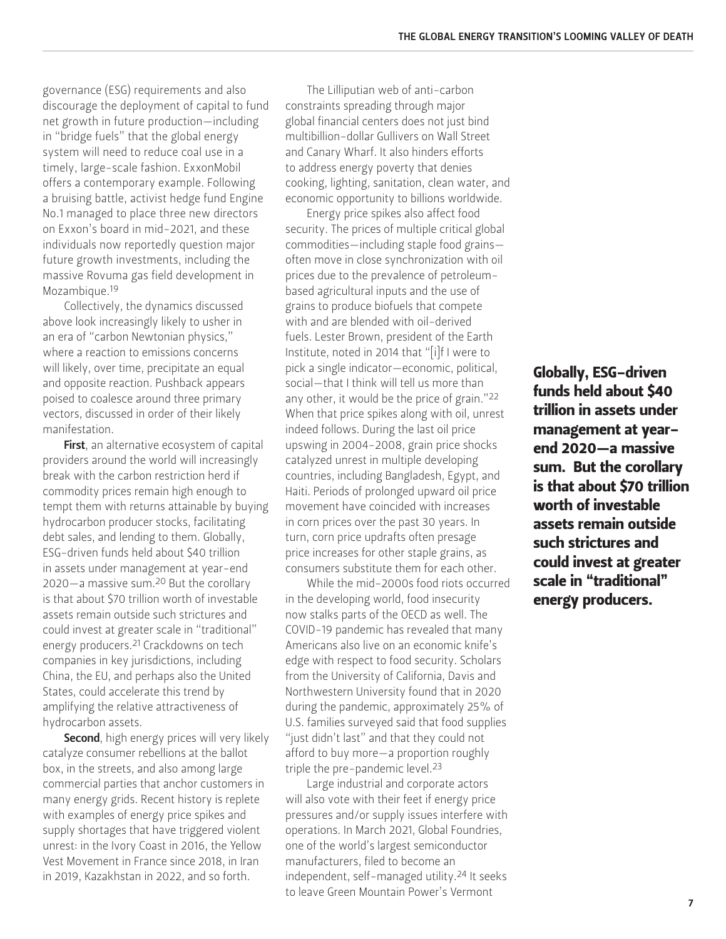governance (ESG) requirements and also discourage the deployment of capital to fund net growth in future production—including in "bridge fuels" that the global energy system will need to reduce coal use in a timely, large-scale fashion. ExxonMobil offers a contemporary example. Following a bruising battle, activist hedge fund Engine No.1 managed to place three new directors on Exxon's board in mid-2021, and these individuals now reportedly question major future growth investments, including the massive Rovuma gas field development in Mozambique.19

Collectively, the dynamics discussed above look increasingly likely to usher in an era of "carbon Newtonian physics," where a reaction to emissions concerns will likely, over time, precipitate an equal and opposite reaction. Pushback appears poised to coalesce around three primary vectors, discussed in order of their likely manifestation.

First, an alternative ecosystem of capital providers around the world will increasingly break with the carbon restriction herd if commodity prices remain high enough to tempt them with returns attainable by buying hydrocarbon producer stocks, facilitating debt sales, and lending to them. Globally, ESG-driven funds held about \$40 trillion in assets under management at year-end 2020—a massive sum.20 But the corollary is that about \$70 trillion worth of investable assets remain outside such strictures and could invest at greater scale in "traditional" energy producers.21 Crackdowns on tech companies in key jurisdictions, including China, the EU, and perhaps also the United States, could accelerate this trend by amplifying the relative attractiveness of hydrocarbon assets.

Second, high energy prices will very likely catalyze consumer rebellions at the ballot box, in the streets, and also among large commercial parties that anchor customers in many energy grids. Recent history is replete with examples of energy price spikes and supply shortages that have triggered violent unrest: in the Ivory Coast in 2016, the Yellow Vest Movement in France since 2018, in Iran in 2019, Kazakhstan in 2022, and so forth.

The Lilliputian web of anti-carbon constraints spreading through major global financial centers does not just bind multibillion-dollar Gullivers on Wall Street and Canary Wharf. It also hinders efforts to address energy poverty that denies cooking, lighting, sanitation, clean water, and economic opportunity to billions worldwide.

Energy price spikes also affect food security. The prices of multiple critical global commodities—including staple food grains often move in close synchronization with oil prices due to the prevalence of petroleumbased agricultural inputs and the use of grains to produce biofuels that compete with and are blended with oil-derived fuels. Lester Brown, president of the Earth Institute, noted in 2014 that "[i]f I were to pick a single indicator—economic, political, social—that I think will tell us more than any other, it would be the price of grain."22 When that price spikes along with oil, unrest indeed follows. During the last oil price upswing in 2004-2008, grain price shocks catalyzed unrest in multiple developing countries, including Bangladesh, Egypt, and Haiti. Periods of prolonged upward oil price movement have coincided with increases in corn prices over the past 30 years. In turn, corn price updrafts often presage price increases for other staple grains, as consumers substitute them for each other.

While the mid-2000s food riots occurred in the developing world, food insecurity now stalks parts of the OECD as well. The COVID-19 pandemic has revealed that many Americans also live on an economic knife's edge with respect to food security. Scholars from the University of California, Davis and Northwestern University found that in 2020 during the pandemic, approximately 25% of U.S. families surveyed said that food supplies "just didn't last" and that they could not afford to buy more—a proportion roughly triple the pre-pandemic level.23

Large industrial and corporate actors will also vote with their feet if energy price pressures and/or supply issues interfere with operations. In March 2021, Global Foundries, one of the world's largest semiconductor manufacturers, filed to become an independent, self-managed utility.24 It seeks to leave Green Mountain Power's Vermont

Globally, ESG-driven funds held about \$40 trillion in assets under management at yearend 2020—a massive sum. But the corollary is that about \$70 trillion worth of investable assets remain outside such strictures and could invest at greater scale in "traditional" energy producers.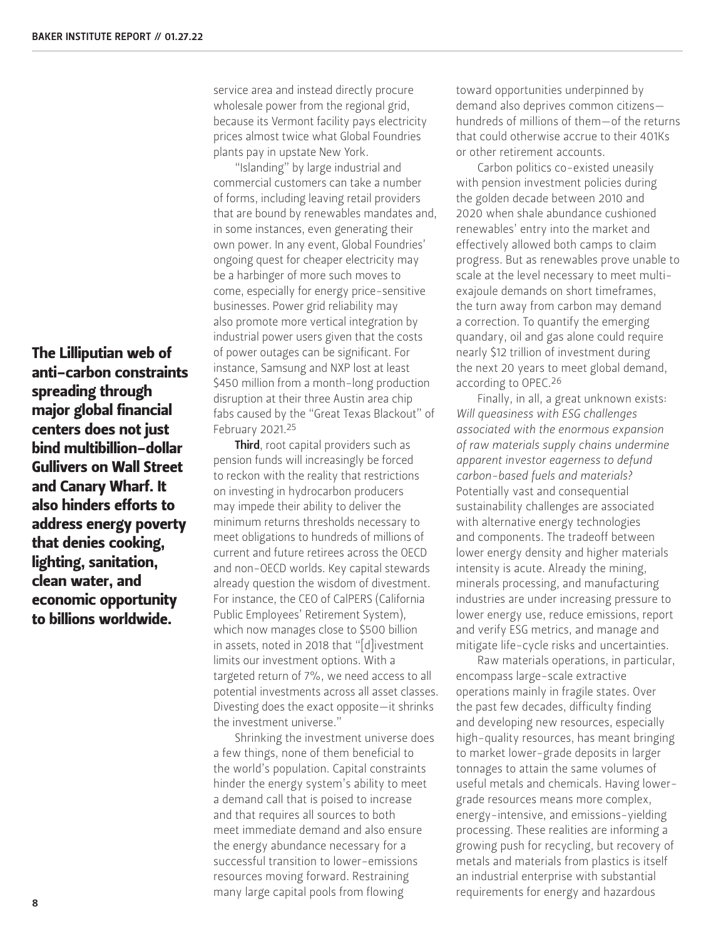The Lilliputian web of anti-carbon constraints spreading through major global financial centers does not just bind multibillion-dollar Gullivers on Wall Street and Canary Wharf. It also hinders efforts to address energy poverty that denies cooking, lighting, sanitation, clean water, and economic opportunity to billions worldwide.

service area and instead directly procure wholesale power from the regional grid, because its Vermont facility pays electricity prices almost twice what Global Foundries plants pay in upstate New York.

"Islanding" by large industrial and commercial customers can take a number of forms, including leaving retail providers that are bound by renewables mandates and, in some instances, even generating their own power. In any event, Global Foundries' ongoing quest for cheaper electricity may be a harbinger of more such moves to come, especially for energy price-sensitive businesses. Power grid reliability may also promote more vertical integration by industrial power users given that the costs of power outages can be significant. For instance, Samsung and NXP lost at least \$450 million from a month-long production disruption at their three Austin area chip fabs caused by the "Great Texas Blackout" of February 2021.25

Third, root capital providers such as pension funds will increasingly be forced to reckon with the reality that restrictions on investing in hydrocarbon producers may impede their ability to deliver the minimum returns thresholds necessary to meet obligations to hundreds of millions of current and future retirees across the OECD and non-OECD worlds. Key capital stewards already question the wisdom of divestment. For instance, the CEO of CalPERS (California Public Employees' Retirement System), which now manages close to \$500 billion in assets, noted in 2018 that "[d]ivestment limits our investment options. With a targeted return of 7%, we need access to all potential investments across all asset classes. Divesting does the exact opposite—it shrinks the investment universe."

Shrinking the investment universe does a few things, none of them beneficial to the world's population. Capital constraints hinder the energy system's ability to meet a demand call that is poised to increase and that requires all sources to both meet immediate demand and also ensure the energy abundance necessary for a successful transition to lower-emissions resources moving forward. Restraining many large capital pools from flowing

toward opportunities underpinned by demand also deprives common citizens hundreds of millions of them—of the returns that could otherwise accrue to their 401Ks or other retirement accounts.

Carbon politics co-existed uneasily with pension investment policies during the golden decade between 2010 and 2020 when shale abundance cushioned renewables' entry into the market and effectively allowed both camps to claim progress. But as renewables prove unable to scale at the level necessary to meet multiexajoule demands on short timeframes, the turn away from carbon may demand a correction. To quantify the emerging quandary, oil and gas alone could require nearly \$12 trillion of investment during the next 20 years to meet global demand, according to OPEC.26

Finally, in all, a great unknown exists: *Will queasiness with ESG challenges associated with the enormous expansion of raw materials supply chains undermine apparent investor eagerness to defund carbon-based fuels and materials?* Potentially vast and consequential sustainability challenges are associated with alternative energy technologies and components. The tradeoff between lower energy density and higher materials intensity is acute. Already the mining, minerals processing, and manufacturing industries are under increasing pressure to lower energy use, reduce emissions, report and verify ESG metrics, and manage and mitigate life-cycle risks and uncertainties.

Raw materials operations, in particular, encompass large-scale extractive operations mainly in fragile states. Over the past few decades, difficulty finding and developing new resources, especially high-quality resources, has meant bringing to market lower-grade deposits in larger tonnages to attain the same volumes of useful metals and chemicals. Having lowergrade resources means more complex, energy-intensive, and emissions-yielding processing. These realities are informing a growing push for recycling, but recovery of metals and materials from plastics is itself an industrial enterprise with substantial requirements for energy and hazardous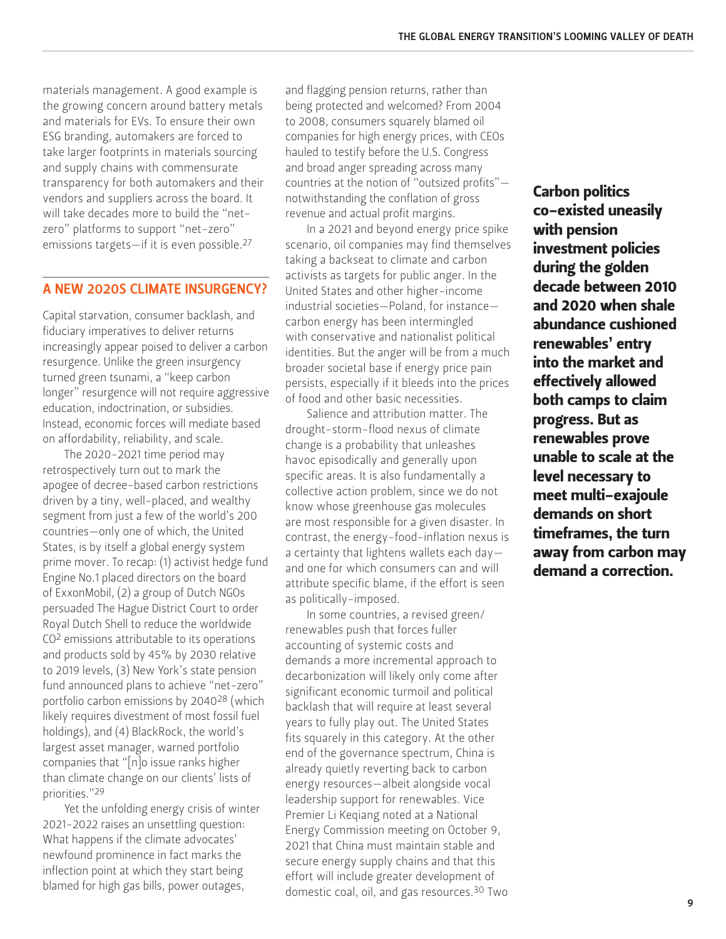materials management. A good example is the growing concern around battery metals and materials for EVs. To ensure their own ESG branding, automakers are forced to take larger footprints in materials sourcing and supply chains with commensurate transparency for both automakers and their vendors and suppliers across the board. It will take decades more to build the "netzero" platforms to support "net-zero" emissions targets—if it is even possible.27

#### A NEW 2020S CLIMATE INSURGENCY?

Capital starvation, consumer backlash, and fiduciary imperatives to deliver returns increasingly appear poised to deliver a carbon resurgence. Unlike the green insurgency turned green tsunami, a "keep carbon longer" resurgence will not require aggressive education, indoctrination, or subsidies. Instead, economic forces will mediate based on affordability, reliability, and scale.

The 2020-2021 time period may retrospectively turn out to mark the apogee of decree-based carbon restrictions driven by a tiny, well-placed, and wealthy segment from just a few of the world's 200 countries—only one of which, the United States, is by itself a global energy system prime mover. To recap: (1) activist hedge fund Engine No.1 placed directors on the board of ExxonMobil, (2) a group of Dutch NGOs persuaded The Hague District Court to order Royal Dutch Shell to reduce the worldwide CO2 emissions attributable to its operations and products sold by 45% by 2030 relative to 2019 levels, (3) New York's state pension fund announced plans to achieve "net-zero" portfolio carbon emissions by 204028 (which likely requires divestment of most fossil fuel holdings), and (4) BlackRock, the world's largest asset manager, warned portfolio companies that "[n]o issue ranks higher than climate change on our clients' lists of priorities."29

Yet the unfolding energy crisis of winter 2021-2022 raises an unsettling question: What happens if the climate advocates' newfound prominence in fact marks the inflection point at which they start being blamed for high gas bills, power outages,

and flagging pension returns, rather than being protected and welcomed? From 2004 to 2008, consumers squarely blamed oil companies for high energy prices, with CEOs hauled to testify before the U.S. Congress and broad anger spreading across many countries at the notion of "outsized profits" notwithstanding the conflation of gross revenue and actual profit margins.

In a 2021 and beyond energy price spike scenario, oil companies may find themselves taking a backseat to climate and carbon activists as targets for public anger. In the United States and other higher-income industrial societies—Poland, for instance carbon energy has been intermingled with conservative and nationalist political identities. But the anger will be from a much broader societal base if energy price pain persists, especially if it bleeds into the prices of food and other basic necessities.

Salience and attribution matter. The drought-storm-flood nexus of climate change is a probability that unleashes havoc episodically and generally upon specific areas. It is also fundamentally a collective action problem, since we do not know whose greenhouse gas molecules are most responsible for a given disaster. In contrast, the energy-food-inflation nexus is a certainty that lightens wallets each day and one for which consumers can and will attribute specific blame, if the effort is seen as politically-imposed.

In some countries, a revised green/ renewables push that forces fuller accounting of systemic costs and demands a more incremental approach to decarbonization will likely only come after significant economic turmoil and political backlash that will require at least several years to fully play out. The United States fits squarely in this category. At the other end of the governance spectrum, China is already quietly reverting back to carbon energy resources—albeit alongside vocal leadership support for renewables. Vice Premier Li Keqiang noted at a National Energy Commission meeting on October 9, 2021 that China must maintain stable and secure energy supply chains and that this effort will include greater development of domestic coal, oil, and gas resources.30 Two

Carbon politics co-existed uneasily with pension investment policies during the golden decade between 2010 and 2020 when shale abundance cushioned renewables' entry into the market and effectively allowed both camps to claim progress. But as renewables prove unable to scale at the level necessary to meet multi-exajoule demands on short timeframes, the turn away from carbon may demand a correction.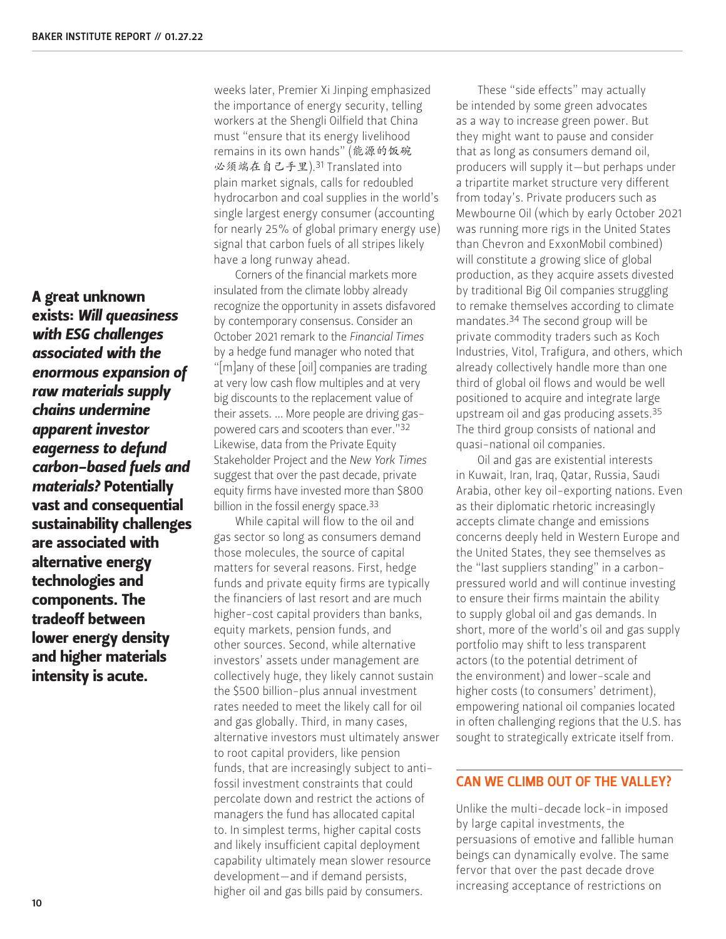A great unknown exists: *Will queasiness with ESG challenges associated with the enormous expansion of raw materials supply chains undermine apparent investor eagerness to defund carbon-based fuels and materials?* Potentially vast and consequential sustainability challenges are associated with alternative energy technologies and components. The tradeoff between lower energy density and higher materials intensity is acute.

weeks later, Premier Xi Jinping emphasized the importance of energy security, telling workers at the Shengli Oilfield that China must "ensure that its energy livelihood remains in its own hands" (能源的饭碗 必须端在自己手里).31 Translated into plain market signals, calls for redoubled hydrocarbon and coal supplies in the world's single largest energy consumer (accounting for nearly 25% of global primary energy use) signal that carbon fuels of all stripes likely have a long runway ahead.

Corners of the financial markets more insulated from the climate lobby already recognize the opportunity in assets disfavored by contemporary consensus. Consider an October 2021 remark to the *Financial Times* by a hedge fund manager who noted that "[m]any of these [oil] companies are trading at very low cash flow multiples and at very big discounts to the replacement value of their assets. … More people are driving gaspowered cars and scooters than ever."32 Likewise, data from the Private Equity Stakeholder Project and the *New York Times* suggest that over the past decade, private equity firms have invested more than \$800 billion in the fossil energy space.<sup>33</sup>

While capital will flow to the oil and gas sector so long as consumers demand those molecules, the source of capital matters for several reasons. First, hedge funds and private equity firms are typically the financiers of last resort and are much higher-cost capital providers than banks, equity markets, pension funds, and other sources. Second, while alternative investors' assets under management are collectively huge, they likely cannot sustain the \$500 billion-plus annual investment rates needed to meet the likely call for oil and gas globally. Third, in many cases, alternative investors must ultimately answer to root capital providers, like pension funds, that are increasingly subject to antifossil investment constraints that could percolate down and restrict the actions of managers the fund has allocated capital to. In simplest terms, higher capital costs and likely insufficient capital deployment capability ultimately mean slower resource development—and if demand persists, higher oil and gas bills paid by consumers.

These "side effects" may actually be intended by some green advocates as a way to increase green power. But they might want to pause and consider that as long as consumers demand oil, producers will supply it—but perhaps under a tripartite market structure very different from today's. Private producers such as Mewbourne Oil (which by early October 2021 was running more rigs in the United States than Chevron and ExxonMobil combined) will constitute a growing slice of global production, as they acquire assets divested by traditional Big Oil companies struggling to remake themselves according to climate mandates.34 The second group will be private commodity traders such as Koch Industries, Vitol, Trafigura, and others, which already collectively handle more than one third of global oil flows and would be well positioned to acquire and integrate large upstream oil and gas producing assets.35 The third group consists of national and quasi-national oil companies.

Oil and gas are existential interests in Kuwait, Iran, Iraq, Qatar, Russia, Saudi Arabia, other key oil-exporting nations. Even as their diplomatic rhetoric increasingly accepts climate change and emissions concerns deeply held in Western Europe and the United States, they see themselves as the "last suppliers standing" in a carbonpressured world and will continue investing to ensure their firms maintain the ability to supply global oil and gas demands. In short, more of the world's oil and gas supply portfolio may shift to less transparent actors (to the potential detriment of the environment) and lower-scale and higher costs (to consumers' detriment), empowering national oil companies located in often challenging regions that the U.S. has sought to strategically extricate itself from.

#### CAN WE CLIMB OUT OF THE VALLEY?

Unlike the multi-decade lock-in imposed by large capital investments, the persuasions of emotive and fallible human beings can dynamically evolve. The same fervor that over the past decade drove increasing acceptance of restrictions on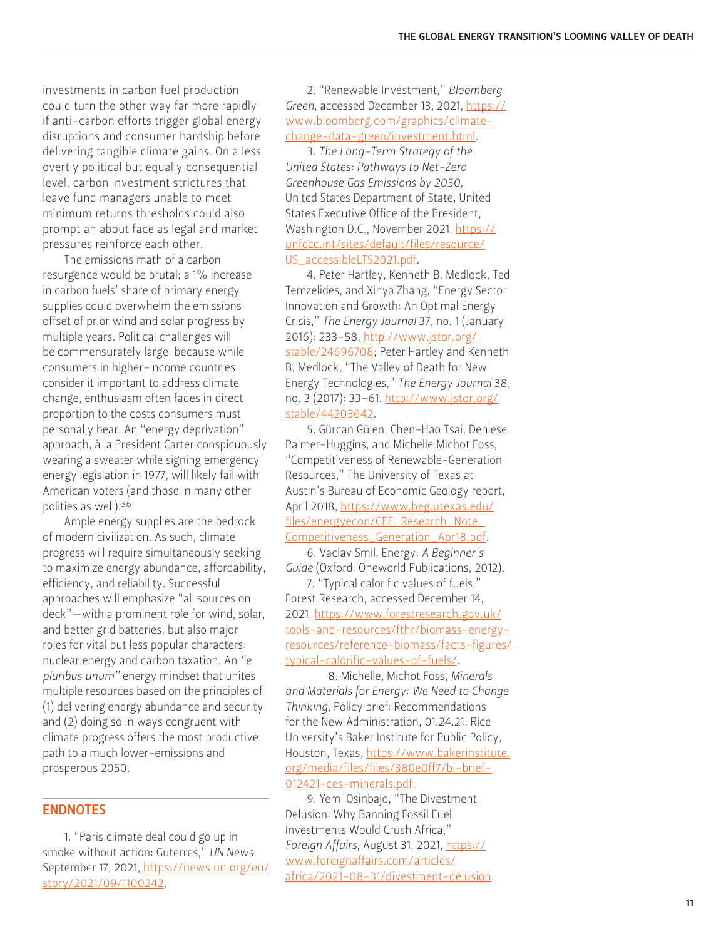investments in carbon fuel production could turn the other way far more rapidly if anti-carbon efforts trigger global energy disruptions and consumer hardship before delivering tangible climate gains. On a less overtly political but equally consequential level, carbon investment strictures that leave fund managers unable to meet minimum returns thresholds could also prompt an about face as legal and market pressures reinforce each other.

The emissions math of a carbon resurgence would be brutal; a 1% increase in carbon fuels' share of primary energy supplies could overwhelm the emissions offset of prior wind and solar progress by multiple years. Political challenges will be commensurately large, because while consumers in higher-income countries consider it important to address climate change, enthusiasm often fades in direct proportion to the costs consumers must personally bear. An "energy deprivation" approach, à la President Carter conspicuously wearing a sweater while signing emergency energy legislation in 1977, will likely fail with American voters (and those in many other polities as well).36

Ample energy supplies are the bedrock of modern civilization. As such, climate progress will require simultaneously seeking to maximize energy abundance, affordability, efficiency, and reliability. Successful approaches will emphasize "all sources on deck"—with a prominent role for wind, solar, and better grid batteries, but also major roles for vital but less popular characters: nuclear energy and carbon taxation. An *"e pluribus unum"* energy mindset that unites multiple resources based on the principles of (1) delivering energy abundance and security and (2) doing so in ways congruent with climate progress offers the most productive path to a much lower-emissions and prosperous 2050.

#### ENDNOTES

1. "Paris climate deal could go up in smoke without action: Guterres," *UN News*, September 17, 2021, [https://news.un.org/en/](https://news.un.org/en/story/2021/09/1100242) [story/2021/09/1100242](https://news.un.org/en/story/2021/09/1100242).

2. "Renewable Investment," *Bloomberg Green*, accessed December 13, 2021, [https://](https://www.bloomberg.com/graphics/climate-change-data-green/investment.html) [www.bloomberg.com/graphics/climate](https://www.bloomberg.com/graphics/climate-change-data-green/investment.html)[change-data-green/investment.html](https://www.bloomberg.com/graphics/climate-change-data-green/investment.html).

3. *The Long-Term Strategy of the United States: Pathways to Net-Zero Greenhouse Gas Emissions by 2050*, United States Department of State, United States Executive Office of the President, Washington D.C., November 2021, [https://](https://unfccc.int/sites/default/files/resource/US_accessibleLTS2021.pdf) [unfccc.int/sites/default/files/resource/](https://unfccc.int/sites/default/files/resource/US_accessibleLTS2021.pdf) [US\\_accessibleLTS2021.pdf](https://unfccc.int/sites/default/files/resource/US_accessibleLTS2021.pdf).

4. Peter Hartley, Kenneth B. Medlock, Ted Temzelides, and Xinya Zhang, "Energy Sector Innovation and Growth: An Optimal Energy Crisis," *The Energy Journal* 37, no. 1 (January 2016): 233–58, [http://www.jstor.org/](http://www.jstor.org/stable/24696708) [stable/24696708](http://www.jstor.org/stable/24696708); Peter Hartley and Kenneth B. Medlock, "The Valley of Death for New Energy Technologies," *The Energy Journal* 38, no. 3 (2017): 33–61. [http://www.jstor.org/](http://www.jstor.org/stable/44203642) [stable/44203642.](http://www.jstor.org/stable/44203642)

5. Gürcan Gülen, Chen-Hao Tsai, Deniese Palmer-Huggins, and Michelle Michot Foss, "Competitiveness of Renewable-Generation Resources," The University of Texas at Austin's Bureau of Economic Geology report, April 2018, [https://www.beg.utexas.edu/](https://www.beg.utexas.edu/files/energyecon/CEE_Research_Note_Competitiveness_Generation_Apr18.pdf) [files/energyecon/CEE\\_Research\\_Note\\_](https://www.beg.utexas.edu/files/energyecon/CEE_Research_Note_Competitiveness_Generation_Apr18.pdf) [Competitiveness\\_Generation\\_Apr18.pdf.](https://www.beg.utexas.edu/files/energyecon/CEE_Research_Note_Competitiveness_Generation_Apr18.pdf)

6. Vaclav Smil, Energy: *A Beginner's Guide* (Oxford: Oneworld Publications, 2012).

7. "Typical calorific values of fuels," Forest Research, accessed December 14, 2021, [https://www.forestresearch.gov.uk/](https://www.forestresearch.gov.uk/tools-and-resources/fthr/biomass-energy-resources/reference-biomass/facts-figures/typical-calorific-values-of-fuels/) [tools-and-resources/fthr/biomass-energy](https://www.forestresearch.gov.uk/tools-and-resources/fthr/biomass-energy-resources/reference-biomass/facts-figures/typical-calorific-values-of-fuels/)[resources/reference-biomass/facts-figures/](https://www.forestresearch.gov.uk/tools-and-resources/fthr/biomass-energy-resources/reference-biomass/facts-figures/typical-calorific-values-of-fuels/) [typical-calorific-values-of-fuels/.](https://www.forestresearch.gov.uk/tools-and-resources/fthr/biomass-energy-resources/reference-biomass/facts-figures/typical-calorific-values-of-fuels/)

 8. Michelle, Michot Foss, *Minerals and Materials for Energy: We Need to Change Thinking*, Policy brief: Recommendations for the New Administration, 01.24.21. Rice University's Baker Institute for Public Policy, Houston, Texas, [https://www.bakerinstitute.](https://www.bakerinstitute.org/media/files/files/380e0ff7/bi-brief-012421-ces-minerals.pdf) [org/media/files/files/380e0ff7/bi-brief-](https://www.bakerinstitute.org/media/files/files/380e0ff7/bi-brief-012421-ces-minerals.pdf)[012421-ces-minerals.pdf](https://www.bakerinstitute.org/media/files/files/380e0ff7/bi-brief-012421-ces-minerals.pdf).

9. Yemi Osinbajo, "The Divestment Delusion: Why Banning Fossil Fuel Investments Would Crush Africa," *Foreign Affairs*, August 31, 2021, [https://](https://www.foreignaffairs.com/articles/africa/2021-08-31/divestment-delusion) [www.foreignaffairs.com/articles/](https://www.foreignaffairs.com/articles/africa/2021-08-31/divestment-delusion) [africa/2021-08-31/divestment-delusion.](https://www.foreignaffairs.com/articles/africa/2021-08-31/divestment-delusion)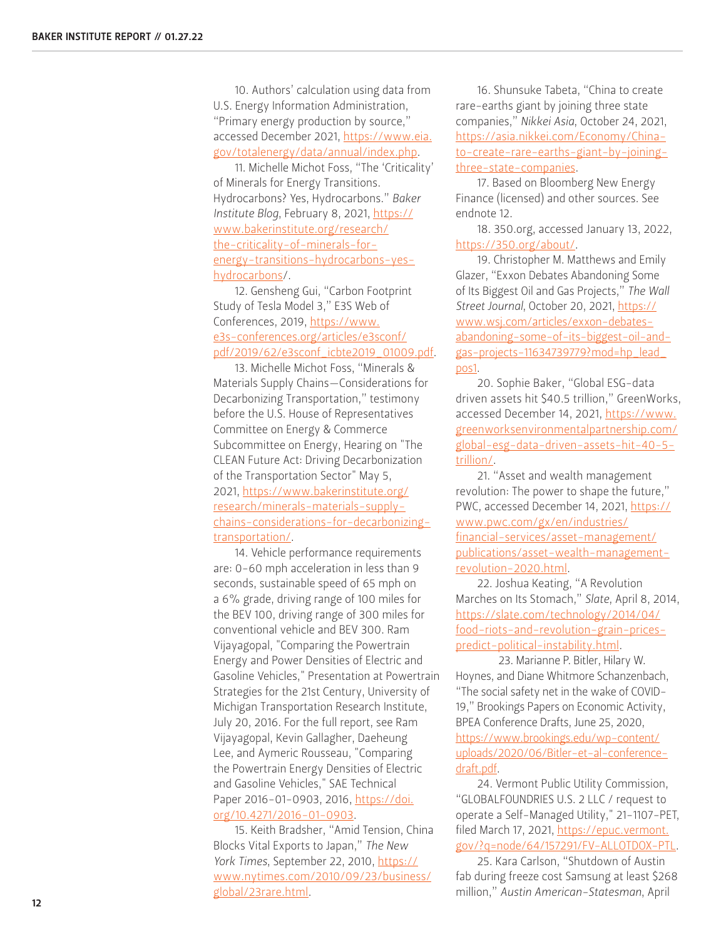10. Authors' calculation using data from U.S. Energy Information Administration, "Primary energy production by source," accessed December 2021, [https://www.eia.](https://www.eia.gov/totalenergy/data/annual/index.php) [gov/totalenergy/data/annual/index.php.](https://www.eia.gov/totalenergy/data/annual/index.php)

11. Michelle Michot Foss, "The 'Criticality' of Minerals for Energy Transitions. Hydrocarbons? Yes, Hydrocarbons." *Baker Institute Blog*, February 8, 2021, [https://](https://www.bakerinstitute.org/research/the-criticality-of-minerals-for-energy-transitions-hydrocarbons-yes-hydrocarbons) [www.bakerinstitute.org/research/](https://www.bakerinstitute.org/research/the-criticality-of-minerals-for-energy-transitions-hydrocarbons-yes-hydrocarbons) [the-criticality-of-minerals-for](https://www.bakerinstitute.org/research/the-criticality-of-minerals-for-energy-transitions-hydrocarbons-yes-hydrocarbons)[energy-transitions-hydrocarbons-yes](https://www.bakerinstitute.org/research/the-criticality-of-minerals-for-energy-transitions-hydrocarbons-yes-hydrocarbons)[hydrocarbons/](https://www.bakerinstitute.org/research/the-criticality-of-minerals-for-energy-transitions-hydrocarbons-yes-hydrocarbons).

12. Gensheng Gui, "Carbon Footprint Study of Tesla Model 3," E3S Web of Conferences, 2019, [https://www.](https://www.e3s-conferences.org/articles/e3sconf/pdf/2019/62/e3sconf_icbte2019_01009.pdf) [e3s-conferences.org/articles/e3sconf/](https://www.e3s-conferences.org/articles/e3sconf/pdf/2019/62/e3sconf_icbte2019_01009.pdf) [pdf/2019/62/e3sconf\\_icbte2019\\_01009.pdf.](https://www.e3s-conferences.org/articles/e3sconf/pdf/2019/62/e3sconf_icbte2019_01009.pdf)

13. Michelle Michot Foss, "Minerals & Materials Supply Chains—Considerations for Decarbonizing Transportation," testimony before the U.S. House of Representatives Committee on Energy & Commerce Subcommittee on Energy, Hearing on "The CLEAN Future Act: Driving Decarbonization of the Transportation Sector" May 5, 2021, [https://www.bakerinstitute.org/](https://www.bakerinstitute.org/research/minerals-materials-supply-chains-considerations-for-decarbonizing-transportation/) [research/minerals-materials-supply](https://www.bakerinstitute.org/research/minerals-materials-supply-chains-considerations-for-decarbonizing-transportation/)[chains-considerations-for-decarbonizing](https://www.bakerinstitute.org/research/minerals-materials-supply-chains-considerations-for-decarbonizing-transportation/)[transportation/](https://www.bakerinstitute.org/research/minerals-materials-supply-chains-considerations-for-decarbonizing-transportation/).

14. Vehicle performance requirements are: 0-60 mph acceleration in less than 9 seconds, sustainable speed of 65 mph on a 6% grade, driving range of 100 miles for the BEV 100, driving range of 300 miles for conventional vehicle and BEV 300. Ram Vijayagopal, "Comparing the Powertrain Energy and Power Densities of Electric and Gasoline Vehicles," Presentation at Powertrain Strategies for the 21st Century, University of Michigan Transportation Research Institute, July 20, 2016. For the full report, see Ram Vijayagopal, Kevin Gallagher, Daeheung Lee, and Aymeric Rousseau, "Comparing the Powertrain Energy Densities of Electric and Gasoline Vehicles," SAE Technical Paper 2016-01-0903, 2016, [https://doi.](https://doi.org/10.4271/2016-01-0903) [org/10.4271/2016-01-0903](https://doi.org/10.4271/2016-01-0903).

15. Keith Bradsher, "Amid Tension, China Blocks Vital Exports to Japan," *The New York Times*, September 22, 2010, [https://](https://www.nytimes.com/2010/09/23/business/global/23rare.html) [www.nytimes.com/2010/09/23/business/](https://www.nytimes.com/2010/09/23/business/global/23rare.html) [global/23rare.html](https://www.nytimes.com/2010/09/23/business/global/23rare.html).

16. Shunsuke Tabeta, "China to create rare-earths giant by joining three state companies," *Nikkei Asia*, October 24, 2021, [https://asia.nikkei.com/Economy/China](https://asia.nikkei.com/Economy/China-to-create-rare-earths-giant-by-joining-three-state-companies)[to-create-rare-earths-giant-by-joining](https://asia.nikkei.com/Economy/China-to-create-rare-earths-giant-by-joining-three-state-companies)[three-state-companies](https://asia.nikkei.com/Economy/China-to-create-rare-earths-giant-by-joining-three-state-companies).

17. Based on Bloomberg New Energy Finance (licensed) and other sources. See endnote 12.

18. 350.org, accessed January 13, 2022, <https://350.org/about/>.

19. Christopher M. Matthews and Emily Glazer, "Exxon Debates Abandoning Some of Its Biggest Oil and Gas Projects," *The Wall Street Journal*, October 20, 2021, [https://](https://www.wsj.com/articles/exxon-debates-abandoning-some-of-its-biggest-oil-and-gas-projects-11634739779?mod=hp_lead_pos1) [www.wsj.com/articles/exxon-debates](https://www.wsj.com/articles/exxon-debates-abandoning-some-of-its-biggest-oil-and-gas-projects-11634739779?mod=hp_lead_pos1)[abandoning-some-of-its-biggest-oil-and](https://www.wsj.com/articles/exxon-debates-abandoning-some-of-its-biggest-oil-and-gas-projects-11634739779?mod=hp_lead_pos1)[gas-projects-11634739779?mod=hp\\_lead\\_](https://www.wsj.com/articles/exxon-debates-abandoning-some-of-its-biggest-oil-and-gas-projects-11634739779?mod=hp_lead_pos1) [pos1](https://www.wsj.com/articles/exxon-debates-abandoning-some-of-its-biggest-oil-and-gas-projects-11634739779?mod=hp_lead_pos1).

20. Sophie Baker, "Global ESG-data driven assets hit \$40.5 trillion," GreenWorks, accessed December 14, 2021, [https://www.](https://www.greenworksenvironmentalpartnership.com/global-esg-data-driven-assets-hit-40-5-trillion/) [greenworksenvironmentalpartnership.com/](https://www.greenworksenvironmentalpartnership.com/global-esg-data-driven-assets-hit-40-5-trillion/) [global-esg-data-driven-assets-hit-40-5](https://www.greenworksenvironmentalpartnership.com/global-esg-data-driven-assets-hit-40-5-trillion/) [trillion/.](https://www.greenworksenvironmentalpartnership.com/global-esg-data-driven-assets-hit-40-5-trillion/)

21. "Asset and wealth management revolution: The power to shape the future," PWC, accessed December 14, 2021, [https://](https://www.pwc.com/gx/en/industries/financial-services/asset-management/publications/asset-wealth-management-revolution-2020.html) [www.pwc.com/gx/en/industries/](https://www.pwc.com/gx/en/industries/financial-services/asset-management/publications/asset-wealth-management-revolution-2020.html) [financial-services/asset-management/](https://www.pwc.com/gx/en/industries/financial-services/asset-management/publications/asset-wealth-management-revolution-2020.html) [publications/asset-wealth-management](https://www.pwc.com/gx/en/industries/financial-services/asset-management/publications/asset-wealth-management-revolution-2020.html)[revolution-2020.html](https://www.pwc.com/gx/en/industries/financial-services/asset-management/publications/asset-wealth-management-revolution-2020.html).

22. Joshua Keating, "A Revolution Marches on Its Stomach," *Slate*, April 8, 2014, [https://slate.com/technology/2014/04/](https://slate.com/technology/2014/04/food-riots-and-revolution-grain-prices-predict-political-instability.html) [food-riots-and-revolution-grain-prices](https://slate.com/technology/2014/04/food-riots-and-revolution-grain-prices-predict-political-instability.html)[predict-political-instability.htm](https://slate.com/technology/2014/04/food-riots-and-revolution-grain-prices-predict-political-instability.html)l.

 23. Marianne P. Bitler, Hilary W. Hoynes, and Diane Whitmore Schanzenbach, "The social safety net in the wake of COVID-19," Brookings Papers on Economic Activity, BPEA Conference Drafts, June 25, 2020, [https://www.brookings.edu/wp-content/](https://www.brookings.edu/wp-content/uploads/2020/06/Bitler-et-al-conference-draft.pdf) [uploads/2020/06/Bitler-et-al-conference](https://www.brookings.edu/wp-content/uploads/2020/06/Bitler-et-al-conference-draft.pdf)[draft.pdf](https://www.brookings.edu/wp-content/uploads/2020/06/Bitler-et-al-conference-draft.pdf).

24. Vermont Public Utility Commission, "GLOBALFOUNDRIES U.S. 2 LLC / request to operate a Self-Managed Utility," 21-1107-PET, filed March 17, 2021, [https://epuc.vermont.](https://epuc.vermont.gov/?q=node/64/157291/FV-ALLOTDOX-PTL) [gov/?q=node/64/157291/FV-ALLOTDOX-PTL](https://epuc.vermont.gov/?q=node/64/157291/FV-ALLOTDOX-PTL).

25. Kara Carlson, "Shutdown of Austin fab during freeze cost Samsung at least \$268 million," *Austin American-Statesman*, April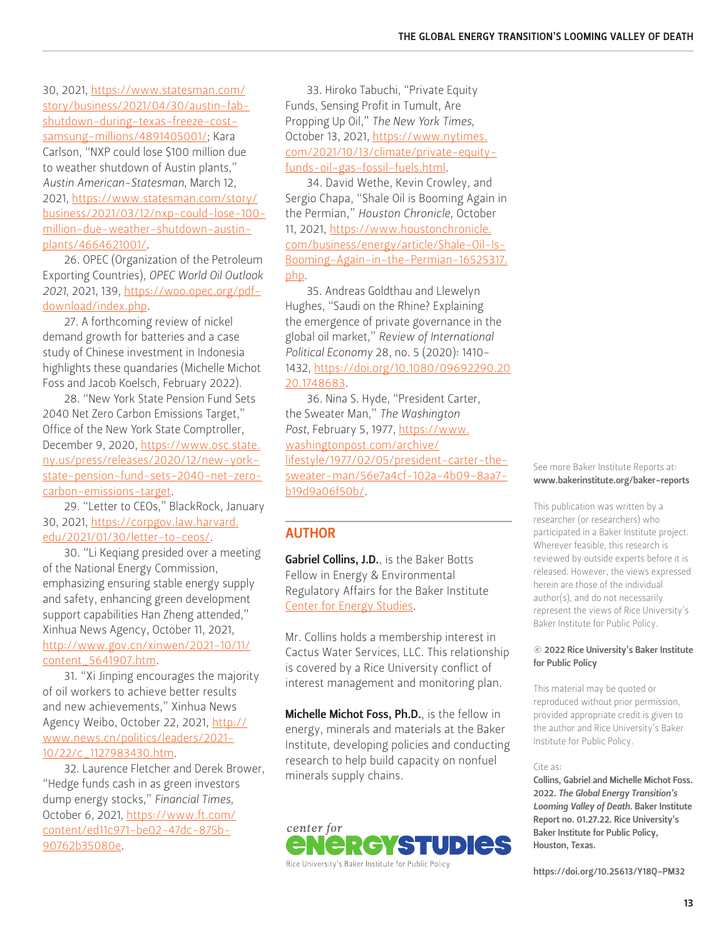30, 2021, [https://www.statesman.com/](https://www.statesman.com/story/business/2021/04/30/austin-fab-shutdown-during-texas-freeze-cost-samsung-millions/4891405001/) [story/business/2021/04/30/austin-fab](https://www.statesman.com/story/business/2021/04/30/austin-fab-shutdown-during-texas-freeze-cost-samsung-millions/4891405001/)[shutdown-during-texas-freeze-cost](https://www.statesman.com/story/business/2021/04/30/austin-fab-shutdown-during-texas-freeze-cost-samsung-millions/4891405001/)[samsung-millions/4891405001/;](https://www.statesman.com/story/business/2021/04/30/austin-fab-shutdown-during-texas-freeze-cost-samsung-millions/4891405001/) Kara Carlson, "NXP could lose \$100 million due to weather shutdown of Austin plants," *Austin American-Statesman*, March 12, 2021, [https://www.statesman.com/story/](https://www.statesman.com/story/business/2021/03/12/nxp-could-lose-100-million-due-weather-shutdown-austin-plants/4664621001/) [business/2021/03/12/nxp-could-lose-100](https://www.statesman.com/story/business/2021/03/12/nxp-could-lose-100-million-due-weather-shutdown-austin-plants/4664621001/) [million-due-weather-shutdown-austin](https://www.statesman.com/story/business/2021/03/12/nxp-could-lose-100-million-due-weather-shutdown-austin-plants/4664621001/)[plants/4664621001/](https://www.statesman.com/story/business/2021/03/12/nxp-could-lose-100-million-due-weather-shutdown-austin-plants/4664621001/).

26. OPEC (Organization of the Petroleum Exporting Countries), *OPEC World Oil Outlook 2021*, 2021, 139, [https://woo.opec.org/pdf](https://woo.opec.org/pdf-download/index.php)[download/index.php](https://woo.opec.org/pdf-download/index.php).

27. A forthcoming review of nickel demand growth for batteries and a case study of Chinese investment in Indonesia highlights these quandaries (Michelle Michot Foss and Jacob Koelsch, February 2022).

28. "New York State Pension Fund Sets 2040 Net Zero Carbon Emissions Target," Office of the New York State Comptroller, December 9, 2020, [https://www.osc.state.](https://www.osc.state.ny.us/press/releases/2020/12/new-york-state-pension-fund-sets-2040-net-zero-carbon-emissions-target) [ny.us/press/releases/2020/12/new-york](https://www.osc.state.ny.us/press/releases/2020/12/new-york-state-pension-fund-sets-2040-net-zero-carbon-emissions-target)[state-pension-fund-sets-2040-net-zero](https://www.osc.state.ny.us/press/releases/2020/12/new-york-state-pension-fund-sets-2040-net-zero-carbon-emissions-target)[carbon-emissions-target](https://www.osc.state.ny.us/press/releases/2020/12/new-york-state-pension-fund-sets-2040-net-zero-carbon-emissions-target).

29. "Letter to CEOs," BlackRock, January 30, 2021, [https://corpgov.law.harvard.](https://corpgov.law.harvard.edu/2021/01/30/letter-to-ceos/) [edu/2021/01/30/letter-to-ceos/](https://corpgov.law.harvard.edu/2021/01/30/letter-to-ceos/).

30. "Li Keqiang presided over a meeting of the National Energy Commission, emphasizing ensuring stable energy supply and safety, enhancing green development support capabilities Han Zheng attended," Xinhua News Agency, October 11, 2021, [http://www.gov.cn/xinwen/2021-10/11/](http://www.gov.cn/xinwen/2021-10/11/content_5641907.htm) [content\\_5641907.htm.](http://www.gov.cn/xinwen/2021-10/11/content_5641907.htm)

31. "Xi Jinping encourages the majority of oil workers to achieve better results and new achievements," Xinhua News Agency Weibo, October 22, 2021, [http://](http://www.news.cn/politics/leaders/2021-10/22/c_1127983430.htm) [www.news.cn/politics/leaders/2021-](http://www.news.cn/politics/leaders/2021-10/22/c_1127983430.htm) [10/22/c\\_1127983430.htm.](http://www.news.cn/politics/leaders/2021-10/22/c_1127983430.htm)

32. Laurence Fletcher and Derek Brower, "Hedge funds cash in as green investors dump energy stocks," *Financial Times*, October 6, 2021, [https://www.ft.com/](https://www.ft.com/content/ed11c971-be02-47dc-875b-90762b35080e) [content/ed11c971-be02-47dc-875b-](https://www.ft.com/content/ed11c971-be02-47dc-875b-90762b35080e)[90762b35080e](https://www.ft.com/content/ed11c971-be02-47dc-875b-90762b35080e).

33. Hiroko Tabuchi, "Private Equity Funds, Sensing Profit in Tumult, Are Propping Up Oil," *The New York Times*, October 13, 2021, [https://www.nytimes.](https://www.nytimes.com/2021/10/13/climate/private-equity-funds-oil-gas-fossil-fuels.html) [com/2021/10/13/climate/private-equity](https://www.nytimes.com/2021/10/13/climate/private-equity-funds-oil-gas-fossil-fuels.html)[funds-oil-gas-fossil-fuels.html.](https://www.nytimes.com/2021/10/13/climate/private-equity-funds-oil-gas-fossil-fuels.html)

34. David Wethe, Kevin Crowley, and Sergio Chapa, "Shale Oil is Booming Again in the Permian," *Houston Chronicle*, October 11, 2021, [https://www.houstonchronicle.](https://www.houstonchronicle.com/business/energy/article/Shale-Oil-Is-Booming-Again-in-the-Permian-16525317.php) [com/business/energy/article/Shale-Oil-Is-](https://www.houstonchronicle.com/business/energy/article/Shale-Oil-Is-Booming-Again-in-the-Permian-16525317.php)[Booming-Again-in-the-Permian-16525317.](https://www.houstonchronicle.com/business/energy/article/Shale-Oil-Is-Booming-Again-in-the-Permian-16525317.php) [php.](https://www.houstonchronicle.com/business/energy/article/Shale-Oil-Is-Booming-Again-in-the-Permian-16525317.php)

35. Andreas Goldthau and Llewelyn Hughes, "Saudi on the Rhine? Explaining the emergence of private governance in the global oil market," *Review of International Political Economy* 28, no. 5 (2020): 1410- 1432, [https://doi.org/10.1080/09692290.20](https://doi.org/10.1080/09692290.2020.1748683) [20.1748683](https://doi.org/10.1080/09692290.2020.1748683).

36. Nina S. Hyde, "President Carter, the Sweater Man," *The Washington*  Post, February 5, 1977, [https://www.](https://www.washingtonpost.com/archive/lifestyle/1977/02/05/president-carter-the-sweater-man/56e7a4cf-102a-4b09-8aa7-b19d9a06f50b/) [washingtonpost.com/archive/](https://www.washingtonpost.com/archive/lifestyle/1977/02/05/president-carter-the-sweater-man/56e7a4cf-102a-4b09-8aa7-b19d9a06f50b/) [lifestyle/1977/02/05/president-carter-the](https://www.washingtonpost.com/archive/lifestyle/1977/02/05/president-carter-the-sweater-man/56e7a4cf-102a-4b09-8aa7-b19d9a06f50b/)[sweater-man/56e7a4cf-102a-4b09-8aa7](https://www.washingtonpost.com/archive/lifestyle/1977/02/05/president-carter-the-sweater-man/56e7a4cf-102a-4b09-8aa7-b19d9a06f50b/) [b19d9a06f50b/](https://www.washingtonpost.com/archive/lifestyle/1977/02/05/president-carter-the-sweater-man/56e7a4cf-102a-4b09-8aa7-b19d9a06f50b/).

#### AUTHOR

[Gabriel Collins, J.D.](https://www.bakerinstitute.org/experts/gabe-collins/), is the Baker Botts Fellow in Energy & Environmental Regulatory Affairs for the Baker Institute [Center for Energy Studies](https://www.bakerinstitute.org/center-for-energy-studies).

Mr. Collins holds a membership interest in Cactus Water Services, LLC. This relationship is covered by a Rice University conflict of interest management and monitoring plan.

[Michelle Michot Foss, Ph.D.](https://www.bakerinstitute.org/experts/michelle-michot-foss/), is the fellow in energy, minerals and materials at the Baker Institute, developing policies and conducting research to help build capacity on nonfuel minerals supply chains.



See more Baker Institute Reports at: [www.bakerinstitute.org/baker-reports](http://www.bakerinstitute.org/baker-reports)

This publication was written by a researcher (or researchers) who participated in a Baker Institute project. Wherever feasible, this research is reviewed by outside experts before it is released. However, the views expressed herein are those of the individual author(s), and do not necessarily represent the views of Rice University's Baker Institute for Public Policy.

#### © 2022 Rice University's Baker Institute for Public Policy

This material may be quoted or reproduced without prior permission, provided appropriate credit is given to the author and Rice University's Baker Institute for Public Policy.

#### Cite as:

Collins, Gabriel and Michelle Michot Foss. 2022. *The Global Energy Transition's Looming Valley of Death.* Baker Institute Report no. 01.27.22. Rice University's Baker Institute for Public Policy, Houston, Texas.

<https://doi.org/10.25613/Y18Q-PM32>